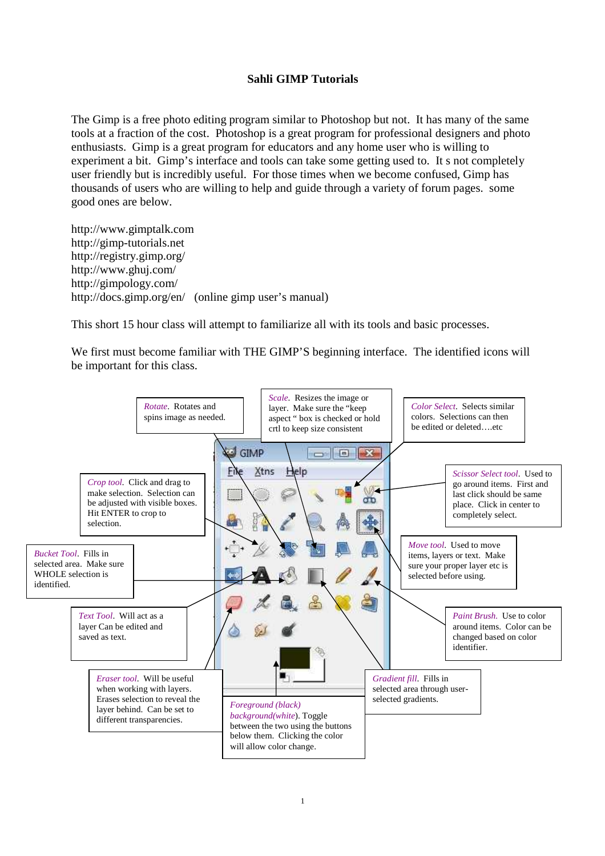## **Sahli GIMP Tutorials**

The Gimp is a free photo editing program similar to Photoshop but not. It has many of the same tools at a fraction of the cost. Photoshop is a great program for professional designers and photo enthusiasts. Gimp is a great program for educators and any home user who is willing to experiment a bit. Gimp's interface and tools can take some getting used to. It s not completely user friendly but is incredibly useful. For those times when we become confused, Gimp has thousands of users who are willing to help and guide through a variety of forum pages. some good ones are below.

http://www.gimptalk.com http://gimp-tutorials.net http://registry.gimp.org/ http://www.ghuj.com/ http://gimpology.com/ http://docs.gimp.org/en/ (online gimp user's manual)

This short 15 hour class will attempt to familiarize all with its tools and basic processes.

We first must become familiar with THE GIMP'S beginning interface. The identified icons will be important for this class.

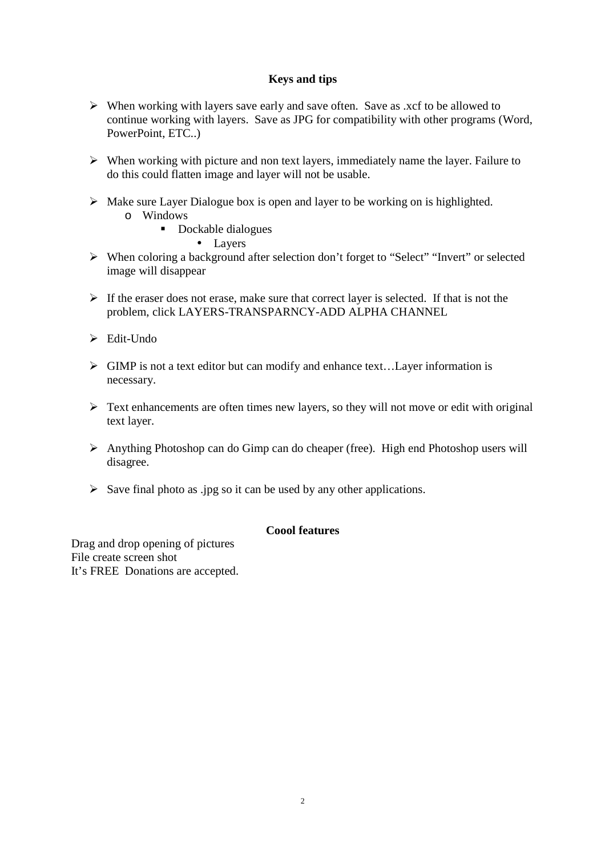## **Keys and tips**

- $\triangleright$  When working with layers save early and save often. Save as .xcf to be allowed to continue working with layers. Save as JPG for compatibility with other programs (Word, PowerPoint, ETC..)
- $\triangleright$  When working with picture and non text layers, immediately name the layer. Failure to do this could flatten image and layer will not be usable.
- $\triangleright$  Make sure Layer Dialogue box is open and layer to be working on is highlighted.
	- o Windows
		- **-** Dockable dialogues

• Layers

- When coloring a background after selection don't forget to "Select" "Invert" or selected image will disappear
- $\triangleright$  If the eraser does not erase, make sure that correct layer is selected. If that is not the problem, click LAYERS-TRANSPARNCY-ADD ALPHA CHANNEL
- $\triangleright$  Edit-Undo
- $\triangleright$  GIMP is not a text editor but can modify and enhance text... Layer information is necessary.
- $\triangleright$  Text enhancements are often times new layers, so they will not move or edit with original text layer.
- Anything Photoshop can do Gimp can do cheaper (free). High end Photoshop users will disagree.
- $\triangleright$  Save final photo as .jpg so it can be used by any other applications.

# **Coool features**

Drag and drop opening of pictures File create screen shot It's FREE Donations are accepted.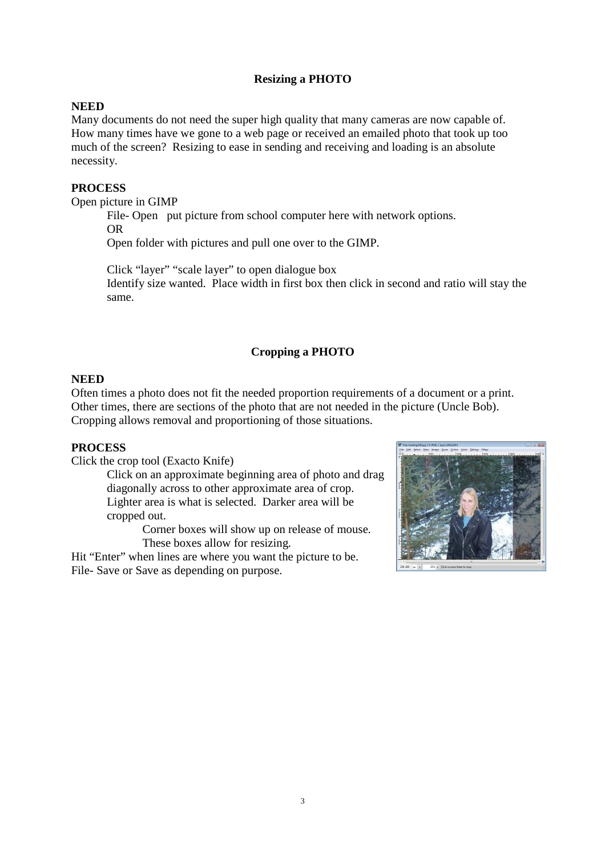# **Resizing a PHOTO**

## **NEED**

Many documents do not need the super high quality that many cameras are now capable of. How many times have we gone to a web page or received an emailed photo that took up too much of the screen? Resizing to ease in sending and receiving and loading is an absolute necessity.

#### **PROCESS**

Open picture in GIMP

File-Open put picture from school computer here with network options. OR

Open folder with pictures and pull one over to the GIMP.

Click "layer" "scale layer" to open dialogue box Identify size wanted. Place width in first box then click in second and ratio will stay the same.

# **Cropping a PHOTO**

#### **NEED**

Often times a photo does not fit the needed proportion requirements of a document or a print. Other times, there are sections of the photo that are not needed in the picture (Uncle Bob). Cropping allows removal and proportioning of those situations.

#### **PROCESS**

Click the crop tool (Exacto Knife)

Click on an approximate beginning area of photo and drag diagonally across to other approximate area of crop. Lighter area is what is selected. Darker area will be cropped out.

> Corner boxes will show up on release of mouse. These boxes allow for resizing.

Hit "Enter" when lines are where you want the picture to be. File- Save or Save as depending on purpose.

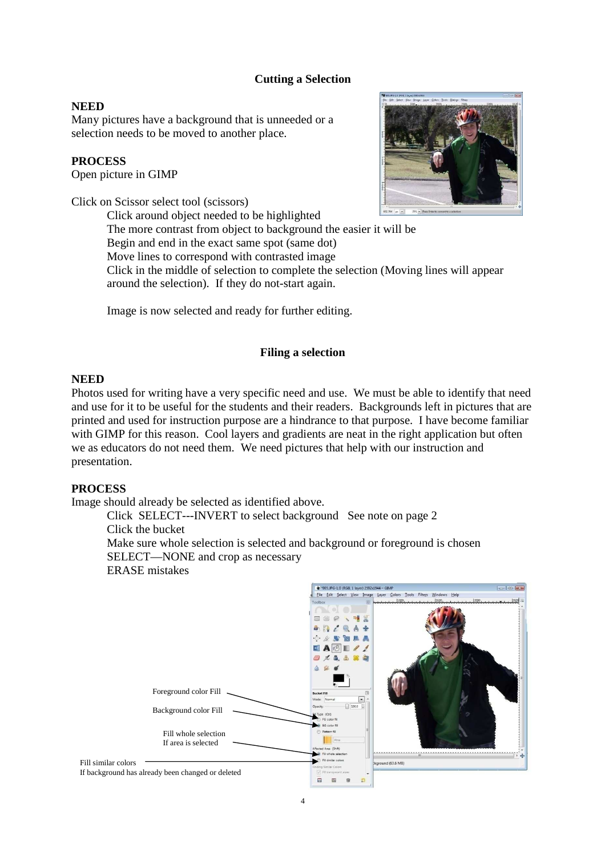### **Cutting a Selection**

#### **NEED**

Many pictures have a background that is unneeded or a selection needs to be moved to another place.

### **PROCESS**

Open picture in GIMP

Click on Scissor select tool (scissors)

Click around object needed to be highlighted

The more contrast from object to background the easier it will be

Begin and end in the exact same spot (same dot)

Move lines to correspond with contrasted image Click in the middle of selection to complete the selection (Moving lines will appear

around the selection). If they do not-start again.

Image is now selected and ready for further editing.

#### **Filing a selection**

#### **NEED**

Photos used for writing have a very specific need and use. We must be able to identify that need and use for it to be useful for the students and their readers. Backgrounds left in pictures that are printed and used for instruction purpose are a hindrance to that purpose. I have become familiar with GIMP for this reason. Cool layers and gradients are neat in the right application but often we as educators do not need them. We need pictures that help with our instruction and presentation.

#### **PROCESS**

Image should already be selected as identified above.

Click SELECT---INVERT to select background See note on page 2 Click the bucket

Make sure whole selection is selected and background or foreground is chosen SELECT—NONE and crop as necessary ERASE mistakes



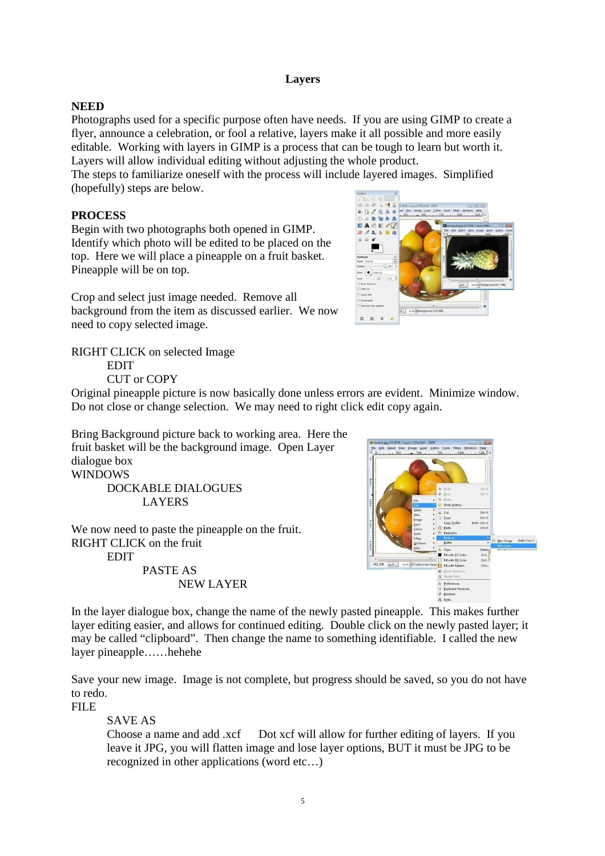### **Layers**

## **NEED**

Photographs used for a specific purpose often have needs. If you are using GIMP to create a flyer, announce a celebration, or fool a relative, layers make it all possible and more easily editable. Working with layers in GIMP is a process that can be tough to learn but worth it. Layers will allow individual editing without adjusting the whole product.

The steps to familiarize oneself with the process will include layered images. Simplified (hopefully) steps are below.

## **PROCESS**

Begin with two photographs both opened in GIMP. Identify which photo will be edited to be placed on the top. Here we will place a pineapple on a fruit basket. Pineapple will be on top.

Crop and select just image needed. Remove all background from the item as discussed earlier. We now need to copy selected image.

RIGHT CLICK on selected Image EDIT

CUT or COPY



Original pineapple picture is now basically done unless errors are evident. Minimize window. Do not close or change selection. We may need to right click edit copy again.

Bring Background picture back to working area. Here the fruit basket will be the background image. Open Layer dialogue box **WINDOWS** 

> DOCKABLE DIALOGUES LAYERS

We now need to paste the pineapple on the fruit. RIGHT CLICK on the fruit EDIT PASTE AS NEW LAYER



In the layer dialogue box, change the name of the newly pasted pineapple. This makes further layer editing easier, and allows for continued editing. Double click on the newly pasted layer; it may be called "clipboard". Then change the name to something identifiable. I called the new layer pineapple……hehehe

Save your new image. Image is not complete, but progress should be saved, so you do not have to redo.

FILE

SAVE AS

Choose a name and add .xcf Dot xcf will allow for further editing of layers. If you leave it JPG, you will flatten image and lose layer options, BUT it must be JPG to be recognized in other applications (word etc…)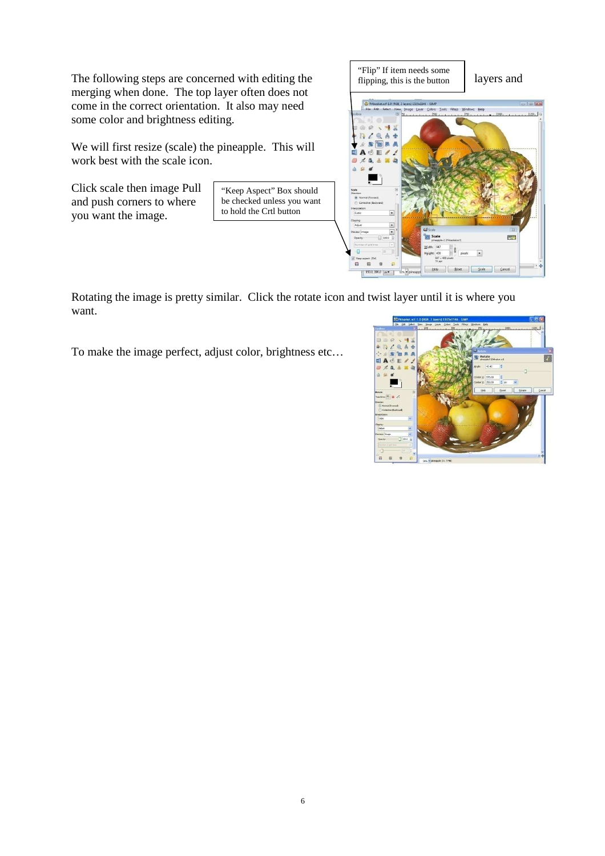The following steps are concerned with editing the  $\left| \begin{array}{c} \text{if } \text{if } p \text{ is the button} \\ \text{fipping, this is the button} \end{array} \right|$  layers and merging when done. The top layer often does not come in the correct orientation. It also may need some color and brightness editing.

We will first resize (scale) the pineapple. This will work best with the scale icon.

Click scale then image Pull and push corners to where you want the image.

"Keep Aspect" Box should be checked unless you want to hold the Crtl button



Rotating the image is pretty similar. Click the rotate icon and twist layer until it is where you want.

To make the image perfect, adjust color, brightness etc…

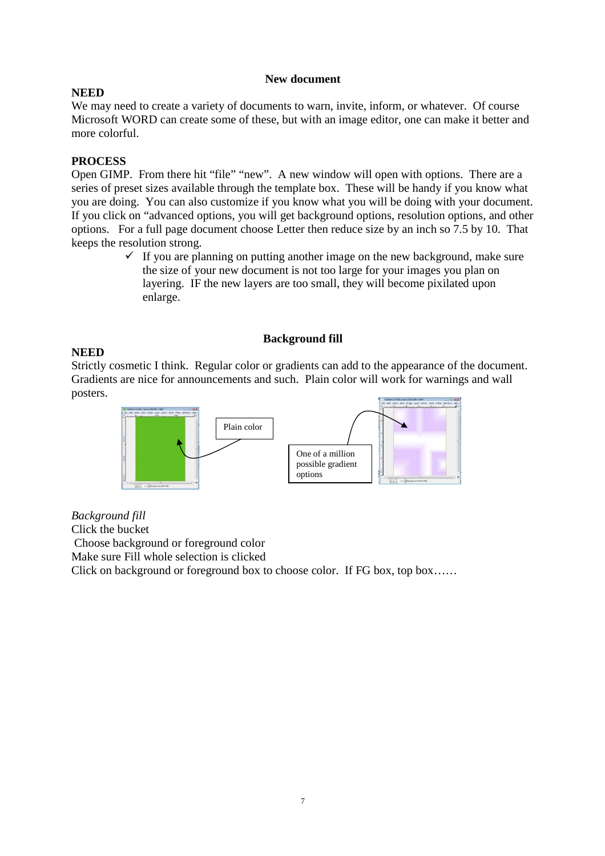#### **New document**

### **NEED**

We may need to create a variety of documents to warn, invite, inform, or whatever. Of course Microsoft WORD can create some of these, but with an image editor, one can make it better and more colorful.

## **PROCESS**

Open GIMP. From there hit "file" "new". A new window will open with options. There are a series of preset sizes available through the template box. These will be handy if you know what you are doing. You can also customize if you know what you will be doing with your document. If you click on "advanced options, you will get background options, resolution options, and other options. For a full page document choose Letter then reduce size by an inch so 7.5 by 10. That keeps the resolution strong.

> $\checkmark$  If you are planning on putting another image on the new background, make sure the size of your new document is not too large for your images you plan on layering. IF the new layers are too small, they will become pixilated upon enlarge.

#### **Background fill**

#### **NEED**

Strictly cosmetic I think. Regular color or gradients can add to the appearance of the document. Gradients are nice for announcements and such. Plain color will work for warnings and wall posters.



*Background fill*  Click the bucket Choose background or foreground color Make sure Fill whole selection is clicked Click on background or foreground box to choose color. If FG box, top box……